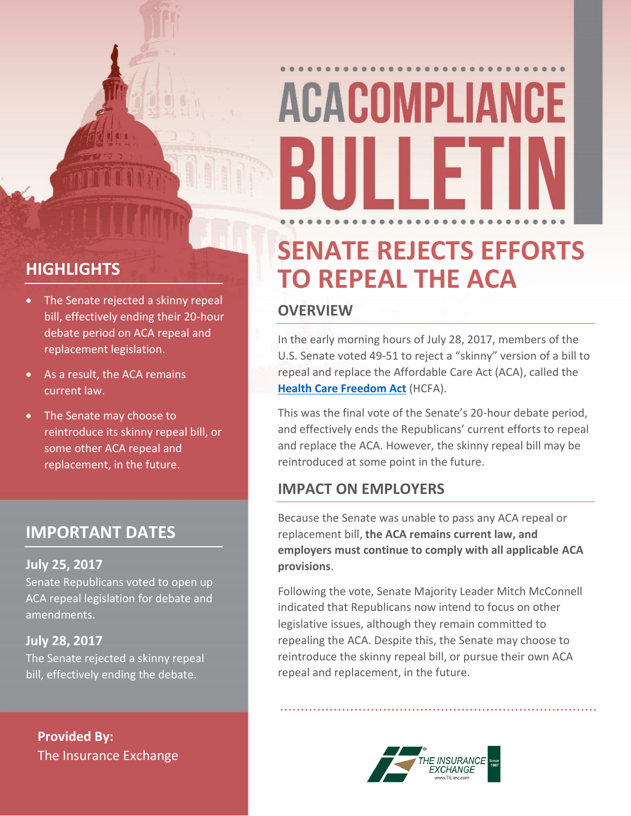# **ACACOMPLIANCE** III I F

#### **HIGHLIGHTS**

- The Senate rejected a skinny repeal bill, effectively ending their 20-hour debate period on ACA repeal and replacement legislation.
- As a result, the ACA remains current law.
- The Senate may choose to reintroduce its skinny repeal bill, or some other ACA repeal and replacement, in the future.

#### **IMPORTANT DATES**

#### **July 25, 2017**

Senate Republicans voted to open up ACA repeal legislation for debate and amendments.

#### **July 28, 2017**

The Senate rejected a skinny repeal bill, effectively ending the debate.

**Provided By:** The Insurance Exchange

### **SENATE REJECTS EFFORTS TO REPEAL THE ACA**

#### **OVERVIEW**

In the early morning hours of July 28, 2017, members of the U.S. Senate voted 49-51 to reject a "skinny" version of a bill to repeal and replace the Affordable Care Act (ACA), called the **[Health Care Freedom Act](https://www.budget.senate.gov/imo/media/doc/HealthCareFreedomAct.pdf)** (HCFA).

This was the final vote of the Senate's 20-hour debate period, and effectively ends the Republicans' current efforts to repeal and replace the ACA. However, the skinny repeal bill may be reintroduced at some point in the future.

#### **IMPACT ON EMPLOYERS**

Because the Senate was unable to pass any ACA repeal or replacement bill, **the ACA remains current law, and employers must continue to comply with all applicable ACA provisions**.

Following the vote, Senate Majority Leader Mitch McConnell indicated that Republicans now intend to focus on other legislative issues, although they remain committed to repealing the ACA. Despite this, the Senate may choose to reintroduce the skinny repeal bill, or pursue their own ACA repeal and replacement, in the future.

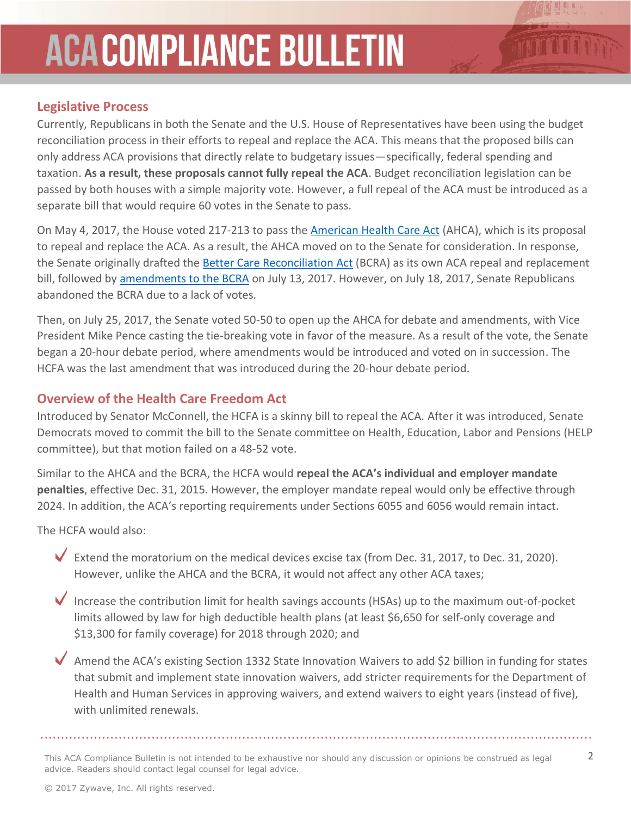## **ACACOMPLIANCE BULLETIN**

#### **Legislative Process**

Currently, Republicans in both the Senate and the U.S. House of Representatives have been using the budget reconciliation process in their efforts to repeal and replace the ACA. This means that the proposed bills can only address ACA provisions that directly relate to budgetary issues—specifically, federal spending and taxation. **As a result, these proposals cannot fully repeal the ACA**. Budget reconciliation legislation can be passed by both houses with a simple majority vote. However, a full repeal of the ACA must be introduced as a separate bill that would require 60 votes in the Senate to pass.

On May 4, 2017, the House voted 217-213 to pass the [American Health Care Act](https://www.gpo.gov/fdsys/pkg/BILLS-115hr1628rh/pdf/BILLS-115hr1628rh.pdf) (AHCA), which is its proposal to repeal and replace the ACA. As a result, the AHCA moved on to the Senate for consideration. In response, the Senate originally drafted the [Better Care Reconciliation Act](https://www.budget.senate.gov/imo/media/doc/SENATEHEALTHCARE.pdf) (BCRA) as its own ACA repeal and replacement bill, followed by [amendments to](https://www.budget.senate.gov/imo/media/doc/BetterCareJuly13.2017.pdf) the BCRA on July 13, 2017. However, on July 18, 2017, Senate Republicans abandoned the BCRA due to a lack of votes.

Then, on July 25, 2017, the Senate voted 50-50 to open up the AHCA for debate and amendments, with Vice President Mike Pence casting the tie-breaking vote in favor of the measure. As a result of the vote, the Senate began a 20-hour debate period, where amendments would be introduced and voted on in succession. The HCFA was the last amendment that was introduced during the 20-hour debate period.

#### **Overview of the Health Care Freedom Act**

Introduced by Senator McConnell, the HCFA is a skinny bill to repeal the ACA. After it was introduced, Senate Democrats moved to commit the bill to the Senate committee on Health, Education, Labor and Pensions (HELP committee), but that motion failed on a 48-52 vote.

Similar to the AHCA and the BCRA, the HCFA would **repeal the ACA's individual and employer mandate penalties**, effective Dec. 31, 2015. However, the employer mandate repeal would only be effective through 2024. In addition, the ACA's reporting requirements under Sections 6055 and 6056 would remain intact.

The HCFA would also:

Extend the moratorium on the medical devices excise tax (from Dec. 31, 2017, to Dec. 31, 2020). However, unlike the AHCA and the BCRA, it would not affect any other ACA taxes;

- $\blacklozenge$  Increase the contribution limit for health savings accounts (HSAs) up to the maximum out-of-pocket limits allowed by law for high deductible health plans (at least \$6,650 for self-only coverage and \$13,300 for family coverage) for 2018 through 2020; and
- $\blacktriangledown$  Amend the ACA's existing Section 1332 State Innovation Waivers to add \$2 billion in funding for states that submit and implement state innovation waivers, add stricter requirements for the Department of Health and Human Services in approving waivers, and extend waivers to eight years (instead of five), with unlimited renewals.

This ACA Compliance Bulletin is not intended to be exhaustive nor should any discussion or opinions be construed as legal  $2$ advice. Readers should contact legal counsel for legal advice.